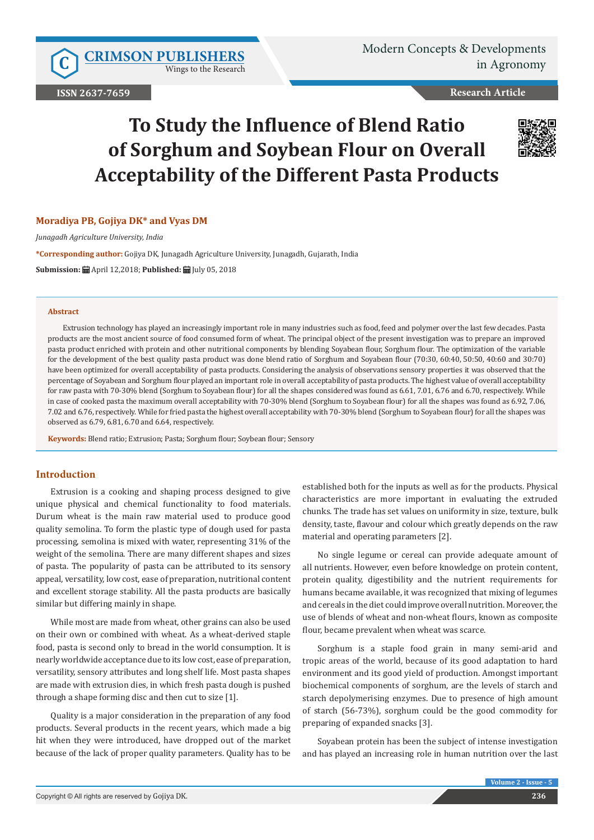Wings to the Research

**ISSN 2637-7659**

**Research Article**

# **To Study the Influence of Blend Ratio of Sorghum and Soybean Flour on Overall Acceptability of the Different Pasta Products**



## **Moradiya PB, Gojiya DK\* and Vyas DM**

*Junagadh Agriculture University, India*

**\*Corresponding author:** Gojiya DK, Junagadh Agriculture University, Junagadh, Gujarath, India

**Submission:** April 12,2018; **Published:** July 05, 2018

#### **Abstract**

Extrusion technology has played an increasingly important role in many industries such as food, feed and polymer over the last few decades. Pasta products are the most ancient source of food consumed form of wheat. The principal object of the present investigation was to prepare an improved pasta product enriched with protein and other nutritional components by blending Soyabean flour, Sorghum flour. The optimization of the variable for the development of the best quality pasta product was done blend ratio of Sorghum and Soyabean flour (70:30, 60:40, 50:50, 40:60 and 30:70) have been optimized for overall acceptability of pasta products. Considering the analysis of observations sensory properties it was observed that the percentage of Soyabean and Sorghum flour played an important role in overall acceptability of pasta products. The highest value of overall acceptability for raw pasta with 70-30% blend (Sorghum to Soyabean flour) for all the shapes considered was found as 6.61, 7.01, 6.76 and 6.70, respectively. While in case of cooked pasta the maximum overall acceptability with 70-30% blend (Sorghum to Soyabean flour) for all the shapes was found as 6.92, 7.06, 7.02 and 6.76, respectively. While for fried pasta the highest overall acceptability with 70-30% blend (Sorghum to Soyabean flour) for all the shapes was observed as 6.79, 6.81, 6.70 and 6.64, respectively.

**Keywords:** Blend ratio; Extrusion; Pasta; Sorghum flour; Soybean flour; Sensory

# **Introduction**

Extrusion is a cooking and shaping process designed to give unique physical and chemical functionality to food materials. Durum wheat is the main raw material used to produce good quality semolina. To form the plastic type of dough used for pasta processing, semolina is mixed with water, representing 31% of the weight of the semolina. There are many different shapes and sizes of pasta. The popularity of pasta can be attributed to its sensory appeal, versatility, low cost, ease of preparation, nutritional content and excellent storage stability. All the pasta products are basically similar but differing mainly in shape.

While most are made from wheat, other grains can also be used on their own or combined with wheat. As a wheat-derived staple food, pasta is second only to bread in the world consumption. It is nearly worldwide acceptance due to its low cost, ease of preparation, versatility, sensory attributes and long shelf life. Most pasta shapes are made with extrusion dies, in which fresh pasta dough is pushed through a shape forming disc and then cut to size [1].

Quality is a major consideration in the preparation of any food products. Several products in the recent years, which made a big hit when they were introduced, have dropped out of the market because of the lack of proper quality parameters. Quality has to be

established both for the inputs as well as for the products. Physical characteristics are more important in evaluating the extruded chunks. The trade has set values on uniformity in size, texture, bulk density, taste, flavour and colour which greatly depends on the raw material and operating parameters [2].

No single legume or cereal can provide adequate amount of all nutrients. However, even before knowledge on protein content, protein quality, digestibility and the nutrient requirements for humans became available, it was recognized that mixing of legumes and cereals in the diet could improve overall nutrition. Moreover, the use of blends of wheat and non-wheat flours, known as composite flour, became prevalent when wheat was scarce.

Sorghum is a staple food grain in many semi-arid and tropic areas of the world, because of its good adaptation to hard environment and its good yield of production. Amongst important biochemical components of sorghum, are the levels of starch and starch depolymerising enzymes. Due to presence of high amount of starch (56-73%), sorghum could be the good commodity for preparing of expanded snacks [3].

Soyabean protein has been the subject of intense investigation and has played an increasing role in human nutrition over the last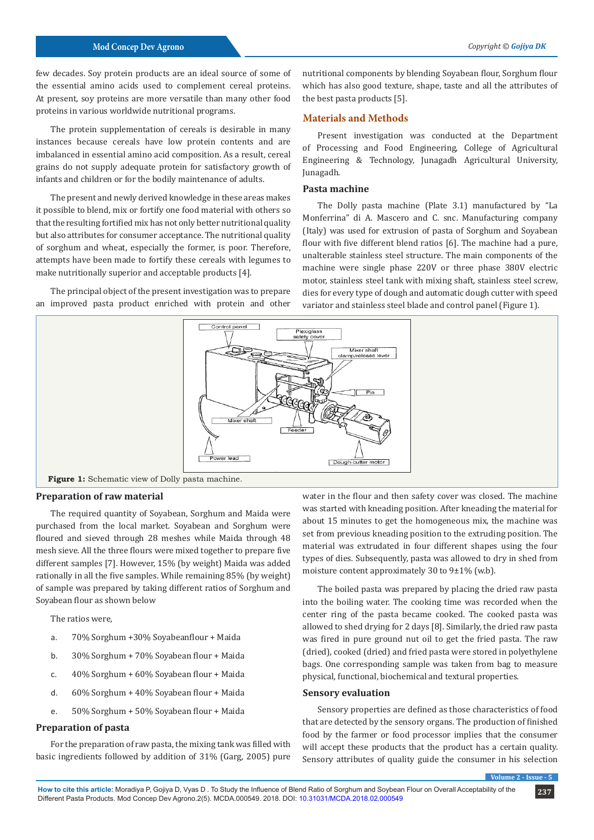few decades. Soy protein products are an ideal source of some of the essential amino acids used to complement cereal proteins. At present, soy proteins are more versatile than many other food proteins in various worldwide nutritional programs.

The protein supplementation of cereals is desirable in many instances because cereals have low protein contents and are imbalanced in essential amino acid composition. As a result, cereal grains do not supply adequate protein for satisfactory growth of infants and children or for the bodily maintenance of adults.

The present and newly derived knowledge in these areas makes it possible to blend, mix or fortify one food material with others so that the resulting fortified mix has not only better nutritional quality but also attributes for consumer acceptance. The nutritional quality of sorghum and wheat, especially the former, is poor. Therefore, attempts have been made to fortify these cereals with legumes to make nutritionally superior and acceptable products [4].

The principal object of the present investigation was to prepare an improved pasta product enriched with protein and other

nutritional components by blending Soyabean flour, Sorghum flour which has also good texture, shape, taste and all the attributes of the best pasta products [5].

### **Materials and Methods**

Present investigation was conducted at the Department of Processing and Food Engineering, College of Agricultural Engineering & Technology, Junagadh Agricultural University, Junagadh.

#### **Pasta machine**

The Dolly pasta machine (Plate 3.1) manufactured by "La Monferrina" di A. Mascero and C. snc. Manufacturing company (Italy) was used for extrusion of pasta of Sorghum and Soyabean flour with five different blend ratios [6]. The machine had a pure, unalterable stainless steel structure. The main components of the machine were single phase 220V or three phase 380V electric motor, stainless steel tank with mixing shaft, stainless steel screw, dies for every type of dough and automatic dough cutter with speed variator and stainless steel blade and control panel (Figure 1).



**Figure 1:** Schematic view of Dolly pasta machine.

#### **Preparation of raw material**

The required quantity of Soyabean, Sorghum and Maida were purchased from the local market. Soyabean and Sorghum were floured and sieved through 28 meshes while Maida through 48 mesh sieve. All the three flours were mixed together to prepare five different samples [7]. However, 15% (by weight) Maida was added rationally in all the five samples. While remaining 85% (by weight) of sample was prepared by taking different ratios of Sorghum and Soyabean flour as shown below

The ratios were,

- a. 70% Sorghum +30% Soyabeanflour + Maida
- b. 30% Sorghum + 70% Soyabean flour + Maida
- c. 40% Sorghum + 60% Soyabean flour + Maida
- d. 60% Sorghum + 40% Soyabean flour + Maida
- e. 50% Sorghum + 50% Soyabean flour + Maida

#### **Preparation of pasta**

For the preparation of raw pasta, the mixing tank was filled with basic ingredients followed by addition of 31% (Garg, 2005) pure water in the flour and then safety cover was closed. The machine was started with kneading position. After kneading the material for about 15 minutes to get the homogeneous mix, the machine was set from previous kneading position to the extruding position. The material was extrudated in four different shapes using the four types of dies. Subsequently, pasta was allowed to dry in shed from moisture content approximately 30 to 9±1% (w.b).

The boiled pasta was prepared by placing the dried raw pasta into the boiling water. The cooking time was recorded when the center ring of the pasta became cooked. The cooked pasta was allowed to shed drying for 2 days [8]. Similarly, the dried raw pasta was fired in pure ground nut oil to get the fried pasta. The raw (dried), cooked (dried) and fried pasta were stored in polyethylene bags. One corresponding sample was taken from bag to measure physical, functional, biochemical and textural properties.

#### **Sensory evaluation**

Sensory properties are defined as those characteristics of food that are detected by the sensory organs. The production of finished food by the farmer or food processor implies that the consumer will accept these products that the product has a certain quality. Sensory attributes of quality guide the consumer in his selection

**Volume 2 - Issue - 5**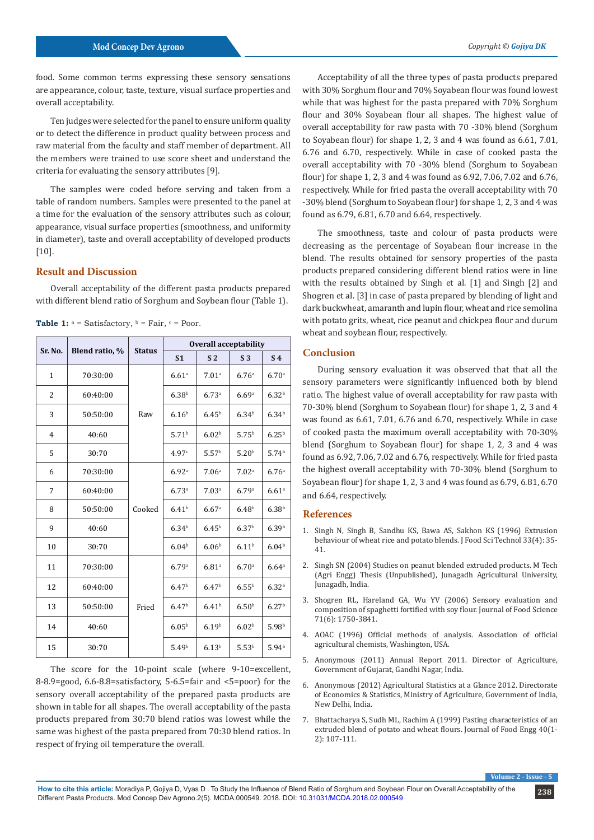food. Some common terms expressing these sensory sensations are appearance, colour, taste, texture, visual surface properties and overall acceptability.

Ten judges were selected for the panel to ensure uniform quality or to detect the difference in product quality between process and raw material from the faculty and staff member of department. All the members were trained to use score sheet and understand the criteria for evaluating the sensory attributes [9].

The samples were coded before serving and taken from a table of random numbers. Samples were presented to the panel at a time for the evaluation of the sensory attributes such as colour, appearance, visual surface properties (smoothness, and uniformity in diameter), taste and overall acceptability of developed products [10].

# **Result and Discussion**

Overall acceptability of the different pasta products prepared with different blend ratio of Sorghum and Soybean flour (Table 1).

| Sr. No.        | Blend ratio, % | <b>Status</b> | <b>Overall acceptability</b> |                   |                   |                     |
|----------------|----------------|---------------|------------------------------|-------------------|-------------------|---------------------|
|                |                |               | S <sub>1</sub>               | S <sub>2</sub>    | S <sub>3</sub>    | S <sub>4</sub>      |
| $\mathbf{1}$   | 70:30:00       | Raw           | 6.61 <sup>a</sup>            | 7.01 <sup>a</sup> | 6.76 <sup>a</sup> | 6.70 <sup>a</sup>   |
| $\overline{2}$ | 60:40:00       |               | 6.38 <sup>b</sup>            | 6.73a             | 6.69a             | 6.32 <sup>b</sup>   |
| 3              | 50:50:00       |               | 6.16 <sup>b</sup>            | $6.45^{b}$        | 6.34 <sup>b</sup> | 6.34 <sup>b</sup>   |
| $\overline{4}$ | 40:60          |               | 5.71 <sup>b</sup>            | 6.02 <sup>b</sup> | 5.75 <sup>b</sup> | $6.25^{b}$          |
| 5              | 30:70          |               | 4.97c                        | 5.57 <sup>b</sup> | 5.20 <sup>b</sup> | 5.74 <sup>b</sup>   |
| 6              | 70:30:00       | Cooked        | 6.92 <sup>a</sup>            | 7.06 <sup>a</sup> | 7.02 <sup>a</sup> | 6.76 <sup>a</sup>   |
| 7              | 60:40:00       |               | 6.73a                        | 7.03 <sup>a</sup> | 6.79a             | $6.61$ <sup>a</sup> |
| 8              | 50:50:00       |               | 6.41 <sup>b</sup>            | 6.67a             | 6.48 <sup>b</sup> | 6.38 <sup>b</sup>   |
| 9              | 40:60          |               | 6.34 <sup>b</sup>            | 6.45 <sup>b</sup> | 6.37 <sup>b</sup> | 6.39 <sup>b</sup>   |
| 10             | 30:70          |               | 6.04 <sup>b</sup>            | 6.06 <sup>b</sup> | 6.11 <sup>b</sup> | 6.04 <sup>b</sup>   |
| 11             | 70:30:00       | Fried         | 6.79a                        | 6.81 <sup>a</sup> | 6.70a             | 6.64a               |
| 12             | 60:40:00       |               | 6.47 <sup>b</sup>            | 6.47 <sup>b</sup> | $6.55^{b}$        | 6.32 <sup>b</sup>   |
| 13             | 50:50:00       |               | 6.47 <sup>b</sup>            | 6.41 <sup>b</sup> | 6.50 <sup>b</sup> | 6.27 <sup>b</sup>   |
| 14             | 40:60          |               | 6.05 <sup>b</sup>            | 6.19 <sup>b</sup> | 6.02 <sup>b</sup> | 5.98 <sup>b</sup>   |
| 15             | 30:70          |               | 5.49 <sup>b</sup>            | 6.13 <sup>b</sup> | 5.53 <sup>b</sup> | 5.94 <sup>b</sup>   |

**Table 1:**  $a =$  Satisfactory,  $b =$  Fair,  $c =$  Poor.

The score for the 10-point scale (where 9-10=excellent, 8-8.9=good, 6.6-8.8=satisfactory, 5-6.5=fair and <5=poor) for the sensory overall acceptability of the prepared pasta products are shown in table for all shapes. The overall acceptability of the pasta products prepared from 30:70 blend ratios was lowest while the same was highest of the pasta prepared from 70:30 blend ratios. In respect of frying oil temperature the overall.

Acceptability of all the three types of pasta products prepared with 30% Sorghum flour and 70% Soyabean flour was found lowest while that was highest for the pasta prepared with 70% Sorghum flour and 30% Soyabean flour all shapes. The highest value of overall acceptability for raw pasta with 70 -30% blend (Sorghum to Soyabean flour) for shape 1, 2, 3 and 4 was found as 6.61, 7.01, 6.76 and 6.70, respectively. While in case of cooked pasta the overall acceptability with 70 -30% blend (Sorghum to Soyabean flour) for shape 1, 2, 3 and 4 was found as 6.92, 7.06, 7.02 and 6.76, respectively. While for fried pasta the overall acceptability with 70 -30% blend (Sorghum to Soyabean flour) for shape 1, 2, 3 and 4 was found as 6.79, 6.81, 6.70 and 6.64, respectively.

The smoothness, taste and colour of pasta products were decreasing as the percentage of Soyabean flour increase in the blend. The results obtained for sensory properties of the pasta products prepared considering different blend ratios were in line with the results obtained by Singh et al. [1] and Singh [2] and Shogren et al. [3] in case of pasta prepared by blending of light and dark buckwheat, amaranth and lupin flour, wheat and rice semolina with potato grits, wheat, rice peanut and chickpea flour and durum wheat and soybean flour, respectively.

#### **Conclusion**

During sensory evaluation it was observed that that all the sensory parameters were significantly influenced both by blend ratio. The highest value of overall acceptability for raw pasta with 70-30% blend (Sorghum to Soyabean flour) for shape 1, 2, 3 and 4 was found as 6.61, 7.01, 6.76 and 6.70, respectively. While in case of cooked pasta the maximum overall acceptability with 70-30% blend (Sorghum to Soyabean flour) for shape 1, 2, 3 and 4 was found as 6.92, 7.06, 7.02 and 6.76, respectively. While for fried pasta the highest overall acceptability with 70-30% blend (Sorghum to Soyabean flour) for shape 1, 2, 3 and 4 was found as 6.79, 6.81, 6.70 and 6.64, respectively.

#### **References**

- 1. Singh N, Singh B, Sandhu KS, Bawa AS, Sakhon KS (1996) Extrusion behaviour of wheat rice and potato blends. J Food Sci Technol 33(4): 35- 41.
- 2. Singh SN (2004) Studies on peanut blended extruded products. M Tech (Agri Engg) Thesis (Unpublished), Junagadh Agricultural University, Junagadh, India.
- 3. [Shogren RL, Hareland GA, Wu YV \(2006\) Sensory evaluation and](https://pubag.nal.usda.gov/catalog/388) [composition of spaghetti fortified with soy flour. Journal of Food Science](https://pubag.nal.usda.gov/catalog/388) [71\(6\): 1750-3841.](https://pubag.nal.usda.gov/catalog/388)
- 4. AOAC (1996) Official methods of analysis. Association of official agricultural chemists, Washington, USA.
- 5. Anonymous (2011) Annual Report 2011. Director of Agriculture, Government of Gujarat, Gandhi Nagar, India.
- 6. Anonymous (2012) Agricultural Statistics at a Glance 2012. Directorate of Economics & Statistics, Ministry of Agriculture, Government of India, New Delhi, India.
- 7. [Bhattacharya S, Sudh ML, Rachim A \(1999\) Pasting characteristics of an](http://agris.fao.org/agris-search/search.do?recordID=US201302915222) [extruded blend of potato and wheat flours. Journal of Food Engg 40\(1-](http://agris.fao.org/agris-search/search.do?recordID=US201302915222) [2\): 107-111.](http://agris.fao.org/agris-search/search.do?recordID=US201302915222)

**Volume 2 - Issue - 5**